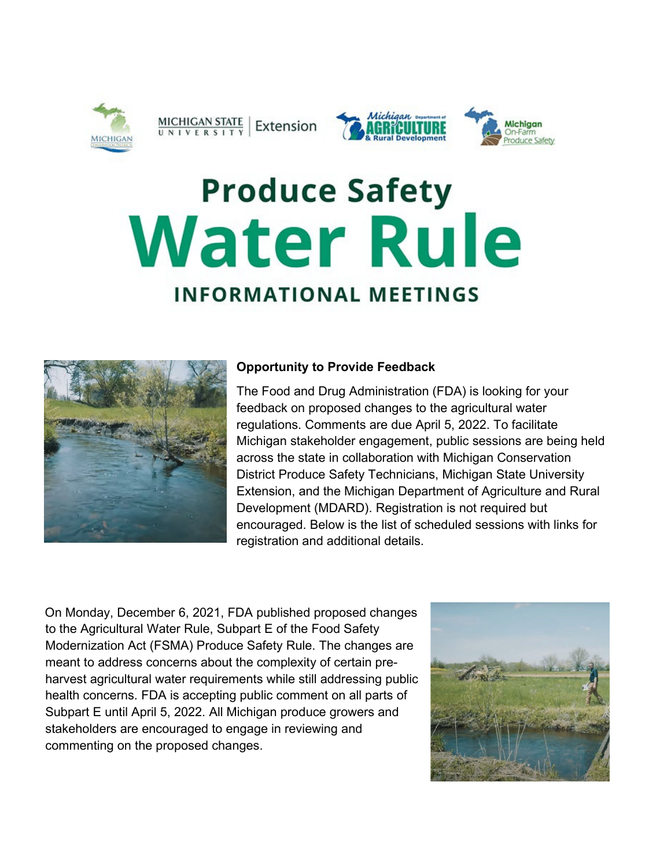

## $\frac{\text{MICHIGAN STATE}}{\text{UNIV E R S IT Y}}$  Extension





## **Produce Safety Water Rule INFORMATIONAL MEETINGS**



## **Opportunity to Provide Feedback**

The Food and Drug Administration (FDA) is looking for your feedback on proposed changes to the agricultural water regulations. Comments are due April 5, 2022. To facilitate Michigan stakeholder engagement, public sessions are being held across the state in collaboration with Michigan Conservation District Produce Safety Technicians, Michigan State University Extension, and the Michigan Department of Agriculture and Rural Development (MDARD). Registration is not required but encouraged. Below is the list of scheduled sessions with links for registration and additional details.

On Monday, December 6, 2021, FDA published proposed changes to the Agricultural Water Rule, Subpart E of the Food Safety Modernization Act (FSMA) Produce Safety Rule. The changes are meant to address concerns about the complexity of certain preharvest agricultural water requirements while still addressing public health concerns. FDA is accepting public comment on all parts of Subpart E until April 5, 2022. All Michigan produce growers and stakeholders are encouraged to engage in reviewing and commenting on the proposed changes.